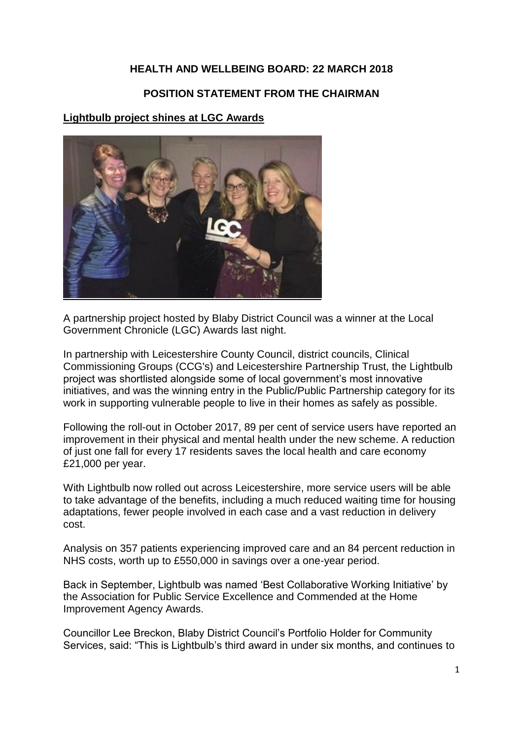#### **HEALTH AND WELLBEING BOARD: 22 MARCH 2018**

#### **POSITION STATEMENT FROM THE CHAIRMAN**

#### **Lightbulb project shines at LGC Awards**



A partnership project hosted by Blaby District Council was a winner at the Local Government Chronicle (LGC) Awards last night.

In partnership with Leicestershire County Council, district councils, Clinical Commissioning Groups (CCG's) and Leicestershire Partnership Trust, the Lightbulb project was shortlisted alongside some of local government's most innovative initiatives, and was the winning entry in the Public/Public Partnership category for its work in supporting vulnerable people to live in their homes as safely as possible.

Following the roll-out in October 2017, 89 per cent of service users have reported an improvement in their physical and mental health under the new scheme. A reduction of just one fall for every 17 residents saves the local health and care economy £21,000 per year.

With Lightbulb now rolled out across Leicestershire, more service users will be able to take advantage of the benefits, including a much reduced waiting time for housing adaptations, fewer people involved in each case and a vast reduction in delivery cost.

Analysis on 357 patients experiencing improved care and an 84 percent reduction in NHS costs, worth up to £550,000 in savings over a one-year period.

Back in September, Lightbulb was named 'Best Collaborative Working Initiative' by the Association for Public Service Excellence and Commended at the Home Improvement Agency Awards.

Councillor Lee Breckon, Blaby District Council's Portfolio Holder for Community Services, said: "This is Lightbulb's third award in under six months, and continues to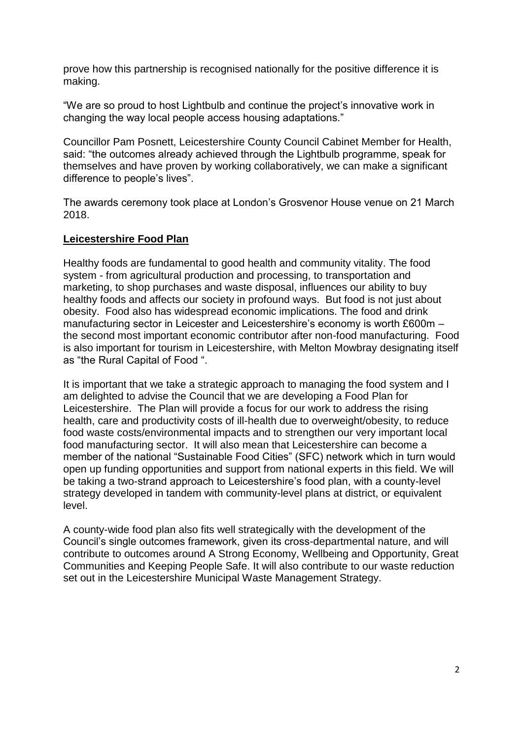prove how this partnership is recognised nationally for the positive difference it is making.

"We are so proud to host Lightbulb and continue the project's innovative work in changing the way local people access housing adaptations."

Councillor Pam Posnett, Leicestershire County Council Cabinet Member for Health, said: "the outcomes already achieved through the Lightbulb programme, speak for themselves and have proven by working collaboratively, we can make a significant difference to people's lives".

The awards ceremony took place at London's Grosvenor House venue on 21 March 2018.

### **Leicestershire Food Plan**

Healthy foods are fundamental to good health and community vitality. The food system - from agricultural production and processing, to transportation and marketing, to shop purchases and waste disposal, influences our ability to buy healthy foods and affects our society in profound ways. But food is not just about obesity. Food also has widespread economic implications. The food and drink manufacturing sector in Leicester and Leicestershire's economy is worth £600m – the second most important economic contributor after non-food manufacturing. Food is also important for tourism in Leicestershire, with Melton Mowbray designating itself as "the Rural Capital of Food ".

It is important that we take a strategic approach to managing the food system and I am delighted to advise the Council that we are developing a Food Plan for Leicestershire. The Plan will provide a focus for our work to address the rising health, care and productivity costs of ill-health due to overweight/obesity, to reduce food waste costs/environmental impacts and to strengthen our very important local food manufacturing sector. It will also mean that Leicestershire can become a member of the national "Sustainable Food Cities" (SFC) network which in turn would open up funding opportunities and support from national experts in this field. We will be taking a two-strand approach to Leicestershire's food plan, with a county-level strategy developed in tandem with community-level plans at district, or equivalent level.

A county-wide food plan also fits well strategically with the development of the Council's single outcomes framework, given its cross-departmental nature, and will contribute to outcomes around A Strong Economy, Wellbeing and Opportunity, Great Communities and Keeping People Safe. It will also contribute to our waste reduction set out in the Leicestershire Municipal Waste Management Strategy.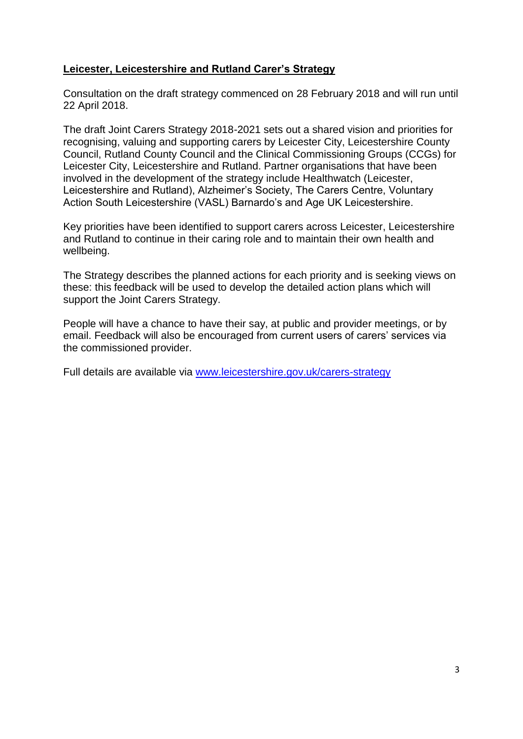### **Leicester, Leicestershire and Rutland Carer's Strategy**

Consultation on the draft strategy commenced on 28 February 2018 and will run until 22 April 2018.

The draft Joint Carers Strategy 2018-2021 sets out a shared vision and priorities for recognising, valuing and supporting carers by Leicester City, Leicestershire County Council, Rutland County Council and the Clinical Commissioning Groups (CCGs) for Leicester City, Leicestershire and Rutland. Partner organisations that have been involved in the development of the strategy include Healthwatch (Leicester, Leicestershire and Rutland), Alzheimer's Society, The Carers Centre, Voluntary Action South Leicestershire (VASL) Barnardo's and Age UK Leicestershire.

Key priorities have been identified to support carers across Leicester, Leicestershire and Rutland to continue in their caring role and to maintain their own health and wellbeing.

The Strategy describes the planned actions for each priority and is seeking views on these: this feedback will be used to develop the detailed action plans which will support the Joint Carers Strategy.

People will have a chance to have their say, at public and provider meetings, or by email. Feedback will also be encouraged from current users of carers' services via the commissioned provider.

Full details are available via [www.leicestershire.gov.uk/carers-strategy](http://www.leicestershire.gov.uk/carers-strategy)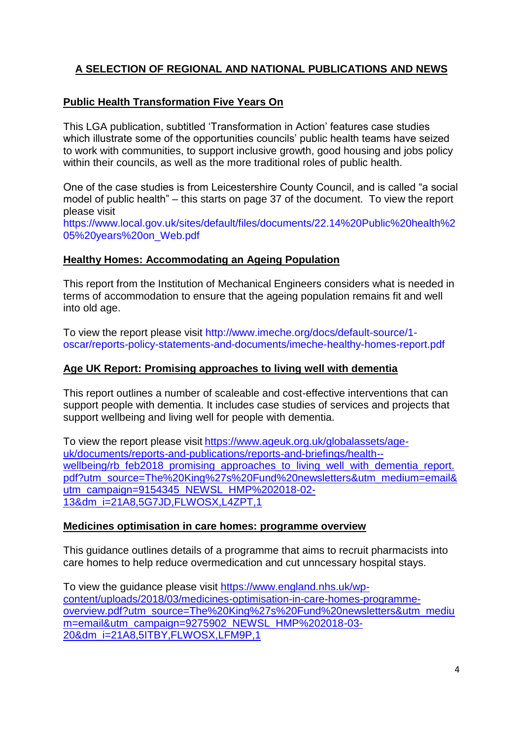# **A SELECTION OF REGIONAL AND NATIONAL PUBLICATIONS AND NEWS**

### **Public Health Transformation Five Years On**

This LGA publication, subtitled 'Transformation in Action' features case studies which illustrate some of the opportunities councils' public health teams have seized to work with communities, to support inclusive growth, good housing and jobs policy within their councils, as well as the more traditional roles of public health.

One of the case studies is from Leicestershire County Council, and is called "a social model of public health" – this starts on page 37 of the document. To view the report please visit

[https://www.local.gov.uk/sites/default/files/documents/22.14%20Public%20health%2](https://www.local.gov.uk/sites/default/files/documents/22.14%20Public%20health%205%20years%20on_Web.pdf) [05%20years%20on\\_Web.pdf](https://www.local.gov.uk/sites/default/files/documents/22.14%20Public%20health%205%20years%20on_Web.pdf)

#### **Healthy Homes: Accommodating an Ageing Population**

This report from the Institution of Mechanical Engineers considers what is needed in terms of accommodation to ensure that the ageing population remains fit and well into old age.

To view the report please visit [http://www.imeche.org/docs/default-source/1](http://www.imeche.org/docs/default-source/1-oscar/reports-policy-statements-and-documents/imeche-healthy-homes-report.pdf) [oscar/reports-policy-statements-and-documents/imeche-healthy-homes-report.pdf](http://www.imeche.org/docs/default-source/1-oscar/reports-policy-statements-and-documents/imeche-healthy-homes-report.pdf)

#### **Age UK Report: Promising approaches to living well with dementia**

This report outlines a number of scaleable and cost-effective interventions that can support people with dementia. It includes case studies of services and projects that support wellbeing and living well for people with dementia.

To view the report please visit [https://www.ageuk.org.uk/globalassets/age](https://www.ageuk.org.uk/globalassets/age-uk/documents/reports-and-publications/reports-and-briefings/health--wellbeing/rb_feb2018_promising_approaches_to_living_well_with_dementia_report.pdf?utm_source=The%20King%27s%20Fund%20newsletters&utm_medium=email&utm_campaign=9154345_NEWSL_HMP%202018-02-13&dm_i=21A8,5G7JD,FLWOSX,L4ZPT,1)[uk/documents/reports-and-publications/reports-and-briefings/health-](https://www.ageuk.org.uk/globalassets/age-uk/documents/reports-and-publications/reports-and-briefings/health--wellbeing/rb_feb2018_promising_approaches_to_living_well_with_dementia_report.pdf?utm_source=The%20King%27s%20Fund%20newsletters&utm_medium=email&utm_campaign=9154345_NEWSL_HMP%202018-02-13&dm_i=21A8,5G7JD,FLWOSX,L4ZPT,1) wellbeing/rb feb2018 promising approaches to living well with dementia report. [pdf?utm\\_source=The%20King%27s%20Fund%20newsletters&utm\\_medium=email&](https://www.ageuk.org.uk/globalassets/age-uk/documents/reports-and-publications/reports-and-briefings/health--wellbeing/rb_feb2018_promising_approaches_to_living_well_with_dementia_report.pdf?utm_source=The%20King%27s%20Fund%20newsletters&utm_medium=email&utm_campaign=9154345_NEWSL_HMP%202018-02-13&dm_i=21A8,5G7JD,FLWOSX,L4ZPT,1) [utm\\_campaign=9154345\\_NEWSL\\_HMP%202018-02-](https://www.ageuk.org.uk/globalassets/age-uk/documents/reports-and-publications/reports-and-briefings/health--wellbeing/rb_feb2018_promising_approaches_to_living_well_with_dementia_report.pdf?utm_source=The%20King%27s%20Fund%20newsletters&utm_medium=email&utm_campaign=9154345_NEWSL_HMP%202018-02-13&dm_i=21A8,5G7JD,FLWOSX,L4ZPT,1) [13&dm\\_i=21A8,5G7JD,FLWOSX,L4ZPT,1](https://www.ageuk.org.uk/globalassets/age-uk/documents/reports-and-publications/reports-and-briefings/health--wellbeing/rb_feb2018_promising_approaches_to_living_well_with_dementia_report.pdf?utm_source=The%20King%27s%20Fund%20newsletters&utm_medium=email&utm_campaign=9154345_NEWSL_HMP%202018-02-13&dm_i=21A8,5G7JD,FLWOSX,L4ZPT,1)

#### **Medicines optimisation in care homes: programme overview**

This guidance outlines details of a programme that aims to recruit pharmacists into care homes to help reduce overmedication and cut unncessary hospital stays.

To view the guidance please visit [https://www.england.nhs.uk/wp](https://www.england.nhs.uk/wp-content/uploads/2018/03/medicines-optimisation-in-care-homes-programme-overview.pdf?utm_source=The%20King%27s%20Fund%20newsletters&utm_medium=email&utm_campaign=9275902_NEWSL_HMP%202018-03-20&dm_i=21A8,5ITBY,FLWOSX,LFM9P,1)[content/uploads/2018/03/medicines-optimisation-in-care-homes-programme](https://www.england.nhs.uk/wp-content/uploads/2018/03/medicines-optimisation-in-care-homes-programme-overview.pdf?utm_source=The%20King%27s%20Fund%20newsletters&utm_medium=email&utm_campaign=9275902_NEWSL_HMP%202018-03-20&dm_i=21A8,5ITBY,FLWOSX,LFM9P,1)[overview.pdf?utm\\_source=The%20King%27s%20Fund%20newsletters&utm\\_mediu](https://www.england.nhs.uk/wp-content/uploads/2018/03/medicines-optimisation-in-care-homes-programme-overview.pdf?utm_source=The%20King%27s%20Fund%20newsletters&utm_medium=email&utm_campaign=9275902_NEWSL_HMP%202018-03-20&dm_i=21A8,5ITBY,FLWOSX,LFM9P,1) [m=email&utm\\_campaign=9275902\\_NEWSL\\_HMP%202018-03-](https://www.england.nhs.uk/wp-content/uploads/2018/03/medicines-optimisation-in-care-homes-programme-overview.pdf?utm_source=The%20King%27s%20Fund%20newsletters&utm_medium=email&utm_campaign=9275902_NEWSL_HMP%202018-03-20&dm_i=21A8,5ITBY,FLWOSX,LFM9P,1) [20&dm\\_i=21A8,5ITBY,FLWOSX,LFM9P,1](https://www.england.nhs.uk/wp-content/uploads/2018/03/medicines-optimisation-in-care-homes-programme-overview.pdf?utm_source=The%20King%27s%20Fund%20newsletters&utm_medium=email&utm_campaign=9275902_NEWSL_HMP%202018-03-20&dm_i=21A8,5ITBY,FLWOSX,LFM9P,1)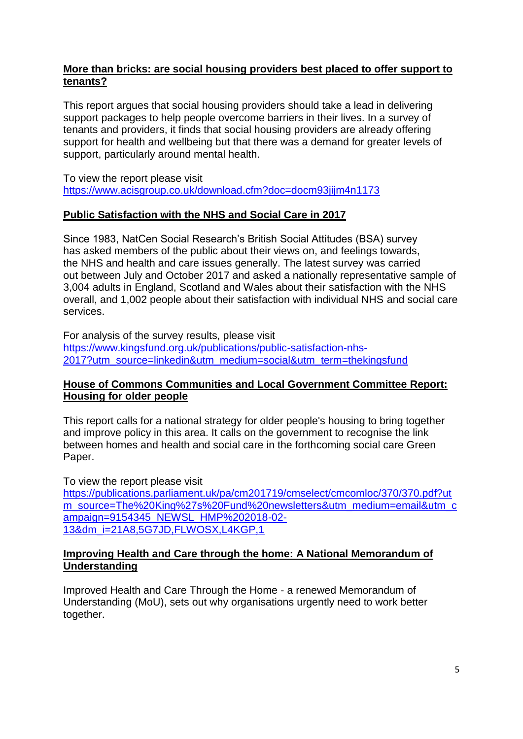### **More than bricks: are social housing providers best placed to offer support to tenants?**

This report argues that social housing providers should take a lead in delivering support packages to help people overcome barriers in their lives. In a survey of tenants and providers, it finds that social housing providers are already offering support for health and wellbeing but that there was a demand for greater levels of support, particularly around mental health.

To view the report please visit <https://www.acisgroup.co.uk/download.cfm?doc=docm93jijm4n1173>

### **Public Satisfaction with the NHS and Social Care in 2017**

Since 1983, NatCen Social Research's British Social Attitudes (BSA) survey has asked members of the public about their views on, and feelings towards, the NHS and health and care issues generally. The latest survey was carried out between July and October 2017 and asked a nationally representative sample of 3,004 adults in England, Scotland and Wales about their satisfaction with the NHS overall, and 1,002 people about their satisfaction with individual NHS and social care services.

For analysis of the survey results, please visit [https://www.kingsfund.org.uk/publications/public-satisfaction-nhs-](https://www.kingsfund.org.uk/publications/public-satisfaction-nhs-2017?utm_source=linkedin&utm_medium=social&utm_term=thekingsfund)[2017?utm\\_source=linkedin&utm\\_medium=social&utm\\_term=thekingsfund](https://www.kingsfund.org.uk/publications/public-satisfaction-nhs-2017?utm_source=linkedin&utm_medium=social&utm_term=thekingsfund)

### **House of Commons Communities and Local Government Committee Report: Housing for older people**

This report calls for a national strategy for older people's housing to bring together and improve policy in this area. It calls on the government to recognise the link between homes and health and social care in the forthcoming social care Green Paper.

To view the report please visit

[https://publications.parliament.uk/pa/cm201719/cmselect/cmcomloc/370/370.pdf?ut](https://publications.parliament.uk/pa/cm201719/cmselect/cmcomloc/370/370.pdf?utm_source=The%20King%27s%20Fund%20newsletters&utm_medium=email&utm_campaign=9154345_NEWSL_HMP%202018-02-13&dm_i=21A8,5G7JD,FLWOSX,L4KGP,1) [m\\_source=The%20King%27s%20Fund%20newsletters&utm\\_medium=email&utm\\_c](https://publications.parliament.uk/pa/cm201719/cmselect/cmcomloc/370/370.pdf?utm_source=The%20King%27s%20Fund%20newsletters&utm_medium=email&utm_campaign=9154345_NEWSL_HMP%202018-02-13&dm_i=21A8,5G7JD,FLWOSX,L4KGP,1) [ampaign=9154345\\_NEWSL\\_HMP%202018-02-](https://publications.parliament.uk/pa/cm201719/cmselect/cmcomloc/370/370.pdf?utm_source=The%20King%27s%20Fund%20newsletters&utm_medium=email&utm_campaign=9154345_NEWSL_HMP%202018-02-13&dm_i=21A8,5G7JD,FLWOSX,L4KGP,1) [13&dm\\_i=21A8,5G7JD,FLWOSX,L4KGP,1](https://publications.parliament.uk/pa/cm201719/cmselect/cmcomloc/370/370.pdf?utm_source=The%20King%27s%20Fund%20newsletters&utm_medium=email&utm_campaign=9154345_NEWSL_HMP%202018-02-13&dm_i=21A8,5G7JD,FLWOSX,L4KGP,1)

### **Improving Health and Care through the home: A National Memorandum of Understanding**

Improved Health and Care Through the Home - a renewed Memorandum of Understanding (MoU), sets out why organisations urgently need to work better together.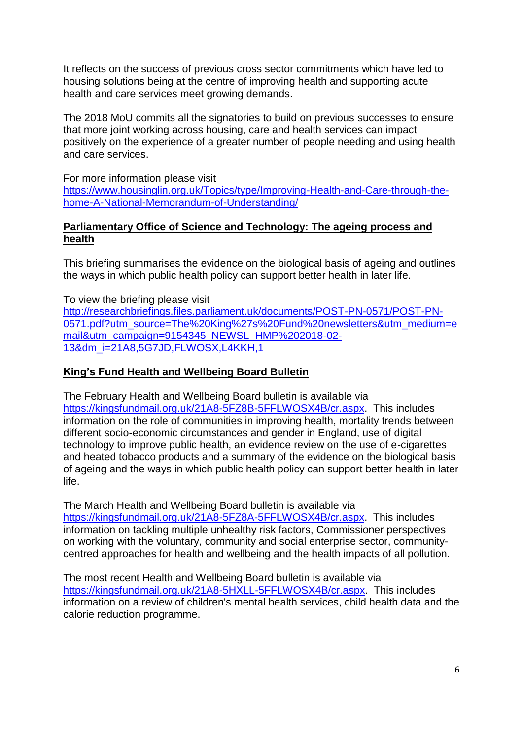It reflects on the success of previous cross sector commitments which have led to housing solutions being at the centre of improving health and supporting acute health and care services meet growing demands.

The 2018 MoU commits all the signatories to build on previous successes to ensure that more joint working across housing, care and health services can impact positively on the experience of a greater number of people needing and using health and care services.

For more information please visit [https://www.housinglin.org.uk/Topics/type/Improving-Health-and-Care-through-the](https://www.housinglin.org.uk/Topics/type/Improving-Health-and-Care-through-the-home-A-National-Memorandum-of-Understanding/)[home-A-National-Memorandum-of-Understanding/](https://www.housinglin.org.uk/Topics/type/Improving-Health-and-Care-through-the-home-A-National-Memorandum-of-Understanding/)

## **Parliamentary Office of Science and Technology: The ageing process and health**

This briefing summarises the evidence on the biological basis of ageing and outlines the ways in which public health policy can support better health in later life.

To view the briefing please visit [http://researchbriefings.files.parliament.uk/documents/POST-PN-0571/POST-PN-](http://researchbriefings.files.parliament.uk/documents/POST-PN-0571/POST-PN-0571.pdf?utm_source=The%20King%27s%20Fund%20newsletters&utm_medium=email&utm_campaign=9154345_NEWSL_HMP%202018-02-13&dm_i=21A8,5G7JD,FLWOSX,L4KKH,1)[0571.pdf?utm\\_source=The%20King%27s%20Fund%20newsletters&utm\\_medium=e](http://researchbriefings.files.parliament.uk/documents/POST-PN-0571/POST-PN-0571.pdf?utm_source=The%20King%27s%20Fund%20newsletters&utm_medium=email&utm_campaign=9154345_NEWSL_HMP%202018-02-13&dm_i=21A8,5G7JD,FLWOSX,L4KKH,1) [mail&utm\\_campaign=9154345\\_NEWSL\\_HMP%202018-02-](http://researchbriefings.files.parliament.uk/documents/POST-PN-0571/POST-PN-0571.pdf?utm_source=The%20King%27s%20Fund%20newsletters&utm_medium=email&utm_campaign=9154345_NEWSL_HMP%202018-02-13&dm_i=21A8,5G7JD,FLWOSX,L4KKH,1) [13&dm\\_i=21A8,5G7JD,FLWOSX,L4KKH,1](http://researchbriefings.files.parliament.uk/documents/POST-PN-0571/POST-PN-0571.pdf?utm_source=The%20King%27s%20Fund%20newsletters&utm_medium=email&utm_campaign=9154345_NEWSL_HMP%202018-02-13&dm_i=21A8,5G7JD,FLWOSX,L4KKH,1)

# **King's Fund Health and Wellbeing Board Bulletin**

The February Health and Wellbeing Board bulletin is available via [https://kingsfundmail.org.uk/21A8-5FZ8B-5FFLWOSX4B/cr.aspx.](https://kingsfundmail.org.uk/21A8-5FZ8B-5FFLWOSX4B/cr.aspx) This includes information on the role of communities in improving health, mortality trends between different socio-economic circumstances and gender in England, use of digital technology to improve public health, an evidence review on the use of e-cigarettes and heated tobacco products and a summary of the evidence on the biological basis of ageing and the ways in which public health policy can support better health in later life.

The March Health and Wellbeing Board bulletin is available via [https://kingsfundmail.org.uk/21A8-5FZ8A-5FFLWOSX4B/cr.aspx.](https://kingsfundmail.org.uk/21A8-5FZ8A-5FFLWOSX4B/cr.aspx) This includes information on tackling multiple unhealthy risk factors, Commissioner perspectives on working with the voluntary, community and social enterprise sector, communitycentred approaches for health and wellbeing and the health impacts of all pollution.

The most recent Health and Wellbeing Board bulletin is available via [https://kingsfundmail.org.uk/21A8-5HXLL-5FFLWOSX4B/cr.aspx.](https://kingsfundmail.org.uk/21A8-5HXLL-5FFLWOSX4B/cr.aspx) This includes information on a review of children's mental health services, child health data and the calorie reduction programme.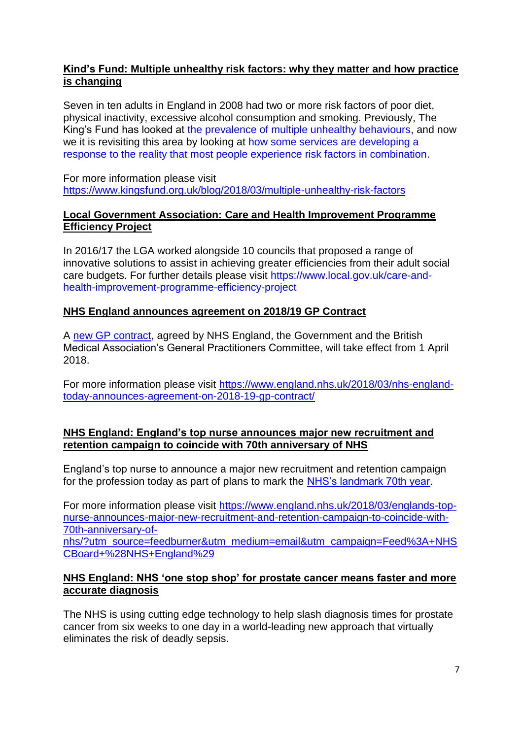### **Kind's Fund: Multiple unhealthy risk factors: why they matter and how practice is changing**

Seven in ten adults in England in 2008 had two or more risk factors of poor diet, physical inactivity, excessive alcohol consumption and smoking. Previously, The King's Fund has looked at [the prevalence of multiple unhealthy behaviours,](https://www.kingsfund.org.uk/sites/default/files/field/field_publication_file/clustering-of-unhealthy-behaviours-over-time-aug-2012.pdf) and now we it is revisiting this area by looking at [how some services are developing a](https://www.kingsfund.org.uk/publications/tackling-multiple-unhealthy-risk-factors)  [response to the reality that most people experience risk factors in combination.](https://www.kingsfund.org.uk/publications/tackling-multiple-unhealthy-risk-factors)

For more information please visit <https://www.kingsfund.org.uk/blog/2018/03/multiple-unhealthy-risk-factors>

#### **Local Government Association: Care and Health Improvement Programme Efficiency Project**

In 2016/17 the LGA worked alongside 10 councils that proposed a range of innovative solutions to assist in achieving greater efficiencies from their adult social care budgets. For further details please visit [https://www.local.gov.uk/care-and](https://www.local.gov.uk/care-and-health-improvement-programme-efficiency-project)[health-improvement-programme-efficiency-project](https://www.local.gov.uk/care-and-health-improvement-programme-efficiency-project)

### **NHS England announces agreement on 2018/19 GP Contract**

A [new GP contract,](https://www.england.nhs.uk/gp/gpfv/investment/gp-contract/) agreed by NHS England, the Government and the British Medical Association's General Practitioners Committee, will take effect from 1 April 2018.

For more information please visit [https://www.england.nhs.uk/2018/03/nhs-england](https://www.england.nhs.uk/2018/03/nhs-england-today-announces-agreement-on-2018-19-gp-contract/)[today-announces-agreement-on-2018-19-gp-contract/](https://www.england.nhs.uk/2018/03/nhs-england-today-announces-agreement-on-2018-19-gp-contract/)

#### **NHS England: England's top nurse announces major new recruitment and retention campaign to coincide with 70th anniversary of NHS**

England's top nurse to announce a major new recruitment and retention campaign for the profession today as part of plans to mark the [NHS's landmark 70th year.](https://www.nhs70.nhs.uk/)

For more information please visit [https://www.england.nhs.uk/2018/03/englands-top](https://www.england.nhs.uk/2018/03/englands-top-nurse-announces-major-new-recruitment-and-retention-campaign-to-coincide-with-70th-anniversary-of-nhs/?utm_source=feedburner&utm_medium=email&utm_campaign=Feed%3A+NHSCBoard+%28NHS+England%29)[nurse-announces-major-new-recruitment-and-retention-campaign-to-coincide-with-](https://www.england.nhs.uk/2018/03/englands-top-nurse-announces-major-new-recruitment-and-retention-campaign-to-coincide-with-70th-anniversary-of-nhs/?utm_source=feedburner&utm_medium=email&utm_campaign=Feed%3A+NHSCBoard+%28NHS+England%29)[70th-anniversary-of-](https://www.england.nhs.uk/2018/03/englands-top-nurse-announces-major-new-recruitment-and-retention-campaign-to-coincide-with-70th-anniversary-of-nhs/?utm_source=feedburner&utm_medium=email&utm_campaign=Feed%3A+NHSCBoard+%28NHS+England%29)

[nhs/?utm\\_source=feedburner&utm\\_medium=email&utm\\_campaign=Feed%3A+NHS](https://www.england.nhs.uk/2018/03/englands-top-nurse-announces-major-new-recruitment-and-retention-campaign-to-coincide-with-70th-anniversary-of-nhs/?utm_source=feedburner&utm_medium=email&utm_campaign=Feed%3A+NHSCBoard+%28NHS+England%29) [CBoard+%28NHS+England%29](https://www.england.nhs.uk/2018/03/englands-top-nurse-announces-major-new-recruitment-and-retention-campaign-to-coincide-with-70th-anniversary-of-nhs/?utm_source=feedburner&utm_medium=email&utm_campaign=Feed%3A+NHSCBoard+%28NHS+England%29)

#### **NHS England: NHS 'one stop shop' for prostate cancer means faster and more accurate diagnosis**

The NHS is using cutting edge technology to help slash diagnosis times for prostate cancer from six weeks to one day in a world-leading new approach that virtually eliminates the risk of deadly sepsis.